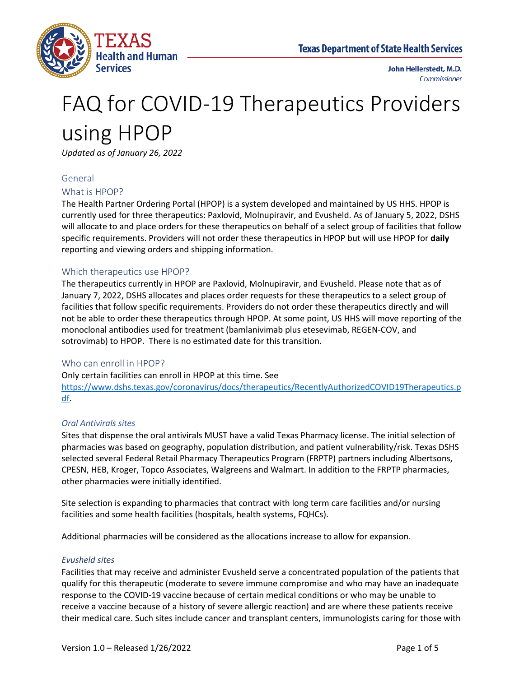

# FAQ for COVID-19 Therapeutics Providers using HPOP

*Updated as of January 26, 2022*

#### General

#### What is HPOP?

The Health Partner Ordering Portal (HPOP) is a system developed and maintained by US HHS. HPOP is currently used for three therapeutics: Paxlovid, Molnupiravir, and Evusheld. As of January 5, 2022, DSHS will allocate to and place orders for these therapeutics on behalf of a select group of facilities that follow specific requirements. Providers will not order these therapeutics in HPOP but will use HPOP for **daily** reporting and viewing orders and shipping information.

#### Which therapeutics use HPOP?

The therapeutics currently in HPOP are Paxlovid, Molnupiravir, and Evusheld. Please note that as of January 7, 2022, DSHS allocates and places order requests for these therapeutics to a select group of facilities that follow specific requirements. Providers do not order these therapeutics directly and will not be able to order these therapeutics through HPOP. At some point, US HHS will move reporting of the monoclonal antibodies used for treatment (bamlanivimab plus etesevimab, REGEN-COV, and sotrovimab) to HPOP. There is no estimated date for this transition.

#### Who can enroll in HPOP?

Only certain facilities can enroll in HPOP at this time. See [https://www.dshs.texas.gov/coronavirus/docs/therapeutics/RecentlyAuthorizedCOVID19Therapeutics.p](https://www.dshs.texas.gov/coronavirus/docs/therapeutics/RecentlyAuthorizedCOVID19Therapeutics.pdf) [df.](https://www.dshs.texas.gov/coronavirus/docs/therapeutics/RecentlyAuthorizedCOVID19Therapeutics.pdf)

#### *Oral Antivirals sites*

Sites that dispense the oral antivirals MUST have a valid Texas Pharmacy license. The initial selection of pharmacies was based on geography, population distribution, and patient vulnerability/risk. Texas DSHS selected several Federal Retail Pharmacy Therapeutics Program (FRPTP) partners including Albertsons, CPESN, HEB, Kroger, Topco Associates, Walgreens and Walmart. In addition to the FRPTP pharmacies, other pharmacies were initially identified.

Site selection is expanding to pharmacies that contract with long term care facilities and/or nursing facilities and some health facilities (hospitals, health systems, FQHCs).

Additional pharmacies will be considered as the allocations increase to allow for expansion.

#### *Evusheld sites*

Facilities that may receive and administer Evusheld serve a concentrated population of the patients that qualify for this therapeutic (moderate to severe immune compromise and who may have an inadequate response to the COVID-19 vaccine because of certain medical conditions or who may be unable to receive a vaccine because of a history of severe allergic reaction) and are where these patients receive their medical care. Such sites include cancer and transplant centers, immunologists caring for those with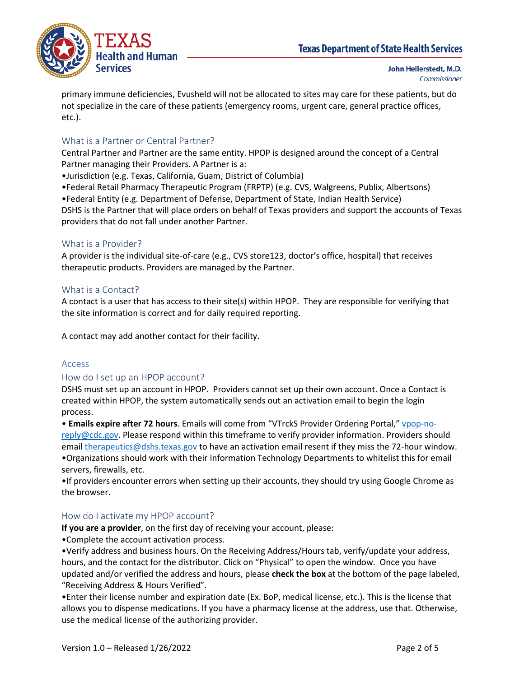

primary immune deficiencies, Evusheld will not be allocated to sites may care for these patients, but do not specialize in the care of these patients (emergency rooms, urgent care, general practice offices, etc.).

# What is a Partner or Central Partner?

Central Partner and Partner are the same entity. HPOP is designed around the concept of a Central Partner managing their Providers. A Partner is a:

•Jurisdiction (e.g. Texas, California, Guam, District of Columbia)

•Federal Retail Pharmacy Therapeutic Program (FRPTP) (e.g. CVS, Walgreens, Publix, Albertsons) •Federal Entity (e.g. Department of Defense, Department of State, Indian Health Service) DSHS is the Partner that will place orders on behalf of Texas providers and support the accounts of Texas providers that do not fall under another Partner.

## What is a Provider?

A provider is the individual site-of-care (e.g., CVS store123, doctor's office, hospital) that receives therapeutic products. Providers are managed by the Partner.

# What is a Contact?

A contact is a user that has access to their site(s) within HPOP. They are responsible for verifying that the site information is correct and for daily required reporting.

A contact may add another contact for their facility.

## Access

## How do I set up an HPOP account?

DSHS must set up an account in HPOP. Providers cannot set up their own account. Once a Contact is created within HPOP, the system automatically sends out an activation email to begin the login process.

• **Emails expire after 72 hours**. Emails will come from "VTrckS Provider Ordering Portal," [vpop-no](mailto:vpop-no-reply@cdc.gov)[reply@cdc.gov.](mailto:vpop-no-reply@cdc.gov) Please respond within this timeframe to verify provider information. Providers should email [therapeutics@dshs.texas.gov](mailto:therapeutics@dshs.texas.gov) to have an activation email resent if they miss the 72-hour window. •Organizations should work with their Information Technology Departments to whitelist this for email servers, firewalls, etc.

•If providers encounter errors when setting up their accounts, they should try using Google Chrome as the browser.

## How do I activate my HPOP account?

**If you are a provider**, on the first day of receiving your account, please:

•Complete the account activation process.

•Verify address and business hours. On the Receiving Address/Hours tab, verify/update your address, hours, and the contact for the distributor. Click on "Physical" to open the window.  Once you have updated and/or verified the address and hours, please **check the box** at the bottom of the page labeled, "Receiving Address & Hours Verified".

•Enter their license number and expiration date (Ex. BoP, medical license, etc.). This is the license that allows you to dispense medications. If you have a pharmacy license at the address, use that. Otherwise, use the medical license of the authorizing provider.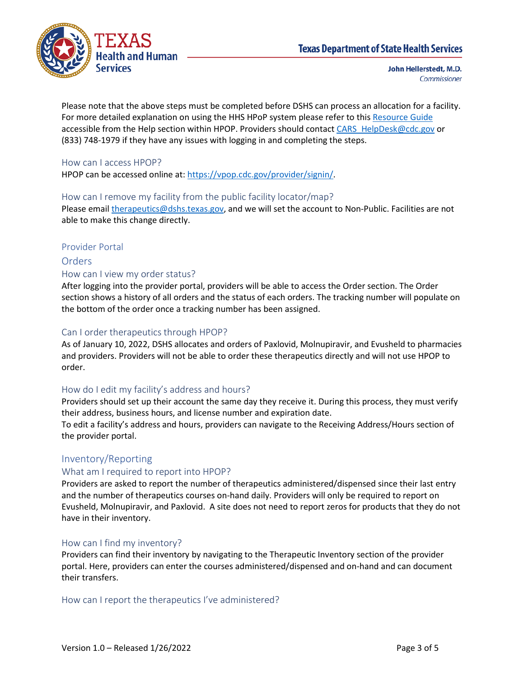

Please note that the above steps must be completed before DSHS can process an allocation for a facility. For more detailed explanation on using the HHS HPoP system please refer to thi[s Resource Guide](https://docs.oracle.com/en/industries/health-sciences/vpop-provider/index.html) accessible from the Help section within HPOP. Providers should contac[t CARS\\_HelpDesk@cdc.gov](mailto:CARS_HelpDesk@cdc.gov) or (833) 748-1979 if they have any issues with logging in and completing the steps.

#### How can I access HPOP?

HPOP can be accessed online at: [https://vpop.cdc.gov/provider/signin/.](https://vpop.cdc.gov/provider/signin/)

#### How can I remove my facility from the public facility locator/map?

Please email [therapeutics@dshs.texas.gov,](mailto:therapeutics@dshs.texas.gov) and we will set the account to Non-Public. Facilities are not able to make this change directly.

#### Provider Portal

# Orders How can I view my order status?

After logging into the provider portal, providers will be able to access the Order section. The Order section shows a history of all orders and the status of each orders. The tracking number will populate on the bottom of the order once a tracking number has been assigned.

#### Can I order therapeutics through HPOP?

As of January 10, 2022, DSHS allocates and orders of Paxlovid, Molnupiravir, and Evusheld to pharmacies and providers. Providers will not be able to order these therapeutics directly and will not use HPOP to order.

## How do I edit my facility's address and hours?

Providers should set up their account the same day they receive it. During this process, they must verify their address, business hours, and license number and expiration date.

To edit a facility's address and hours, providers can navigate to the Receiving Address/Hours section of the provider portal.

## Inventory/Reporting

#### What am I required to report into HPOP?

Providers are asked to report the number of therapeutics administered/dispensed since their last entry and the number of therapeutics courses on-hand daily. Providers will only be required to report on Evusheld, Molnupiravir, and Paxlovid. A site does not need to report zeros for products that they do not have in their inventory.

#### How can I find my inventory?

Providers can find their inventory by navigating to the Therapeutic Inventory section of the provider portal. Here, providers can enter the courses administered/dispensed and on-hand and can document their transfers.

#### How can I report the therapeutics I've administered?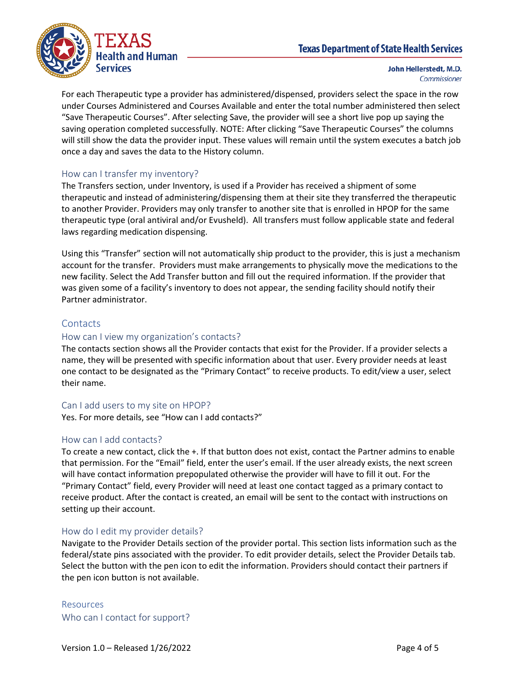# **Texas Department of State Health Services**



John Hellerstedt, M.D. Commissioner

For each Therapeutic type a provider has administered/dispensed, providers select the space in the row under Courses Administered and Courses Available and enter the total number administered then select "Save Therapeutic Courses". After selecting Save, the provider will see a short live pop up saying the saving operation completed successfully. NOTE: After clicking "Save Therapeutic Courses" the columns will still show the data the provider input. These values will remain until the system executes a batch job once a day and saves the data to the History column.

#### How can I transfer my inventory?

The Transfers section, under Inventory, is used if a Provider has received a shipment of some therapeutic and instead of administering/dispensing them at their site they transferred the therapeutic to another Provider. Providers may only transfer to another site that is enrolled in HPOP for the same therapeutic type (oral antiviral and/or Evusheld). All transfers must follow applicable state and federal laws regarding medication dispensing.

Using this "Transfer" section will not automatically ship product to the provider, this is just a mechanism account for the transfer. Providers must make arrangements to physically move the medications to the new facility. Select the Add Transfer button and fill out the required information. If the provider that was given some of a facility's inventory to does not appear, the sending facility should notify their Partner administrator.

#### **Contacts**

#### How can I view my organization's contacts?

The contacts section shows all the Provider contacts that exist for the Provider. If a provider selects a name, they will be presented with specific information about that user. Every provider needs at least one contact to be designated as the "Primary Contact" to receive products. To edit/view a user, select their name.

#### Can I add users to my site on HPOP?

Yes. For more details, see "How can I add contacts?"

#### How can I add contacts?

To create a new contact, click the +. If that button does not exist, contact the Partner admins to enable that permission. For the "Email" field, enter the user's email. If the user already exists, the next screen will have contact information prepopulated otherwise the provider will have to fill it out. For the "Primary Contact" field, every Provider will need at least one contact tagged as a primary contact to receive product. After the contact is created, an email will be sent to the contact with instructions on setting up their account.

#### How do I edit my provider details?

Navigate to the Provider Details section of the provider portal. This section lists information such as the federal/state pins associated with the provider. To edit provider details, select the Provider Details tab. Select the button with the pen icon to edit the information. Providers should contact their partners if the pen icon button is not available.

Resources Who can I contact for support?